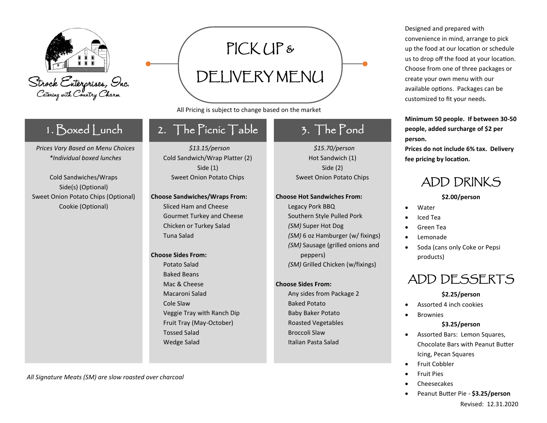

### 1. Boxed Lunch

*Prices Vary Based on Menu Choices \*Individual boxed lunches*

Cold Sandwiches/Wraps Side(s) (Optional) Sweet Onion Potato Chips (Optional) Cookie (Optional)

## 2. The Picnic Table

PICK UP &

DELIVERY MENU

All Pricing is subject to change based on the market

*\$13.15/person* Cold Sandwich/Wrap Platter (2) Side (1) Sweet Onion Potato Chips

#### **Choose Sandwiches/Wraps From:**  Sliced Ham and Cheese Gourmet Turkey and Cheese Chicken or Turkey Salad Tuna Salad

#### **Choose Sides From:**

Potato Salad Baked Beans Mac & Cheese Macaroni Salad Cole Slaw Veggie Tray with Ranch Dip Fruit Tray (May-October) Tossed Salad Wedge Salad

## 3. The Pond

*\$15.70/person* Hot Sandwich (1) Side (2) Sweet Onion Potato Chips

#### **Choose Hot Sandwiches From:**

Legacy Pork BBQ Southern Style Pulled Pork *(SM)* Super Hot Dog *(SM)* 6 oz Hamburger (w/ fixings) *(SM)* Sausage (grilled onions and peppers) *(SM)* Grilled Chicken (w/fixings)

#### **Choose Sides From:**

Any sides from Package 2 Baked Potato Baby Baker Potato Roasted Vegetables Broccoli Slaw Italian Pasta Salad

Designed and prepared with convenience in mind, arrange to pick up the food at our location or schedule us to drop off the food at your location. Choose from one of three packages or create your own menu with our available options. Packages can be customized to fit your needs.

#### **Minimum 50 people. If between 30-50 people, added surcharge of \$2 per person.**

**Prices do not include 6% tax. Delivery fee pricing by location.** 

## ADD DRINKS

#### **\$2.00/person**

- **Water**
- Iced Tea
- Green Tea
- Lemonade
- Soda (cans only Coke or Pepsi products)

## ADD DESSERTS

#### **\$2.25/person**

- Assorted 4 inch cookies
- Brownies

#### **\$3.25/person**

- Assorted Bars: Lemon Squares, Chocolate Bars with Peanut Butter Icing, Pecan Squares
- Fruit Cobbler
- Fruit Pies
- Cheesecakes
- Peanut Butter Pie **\$3.25/person**

*All Signature Meats (SM) are slow roasted over charcoal*